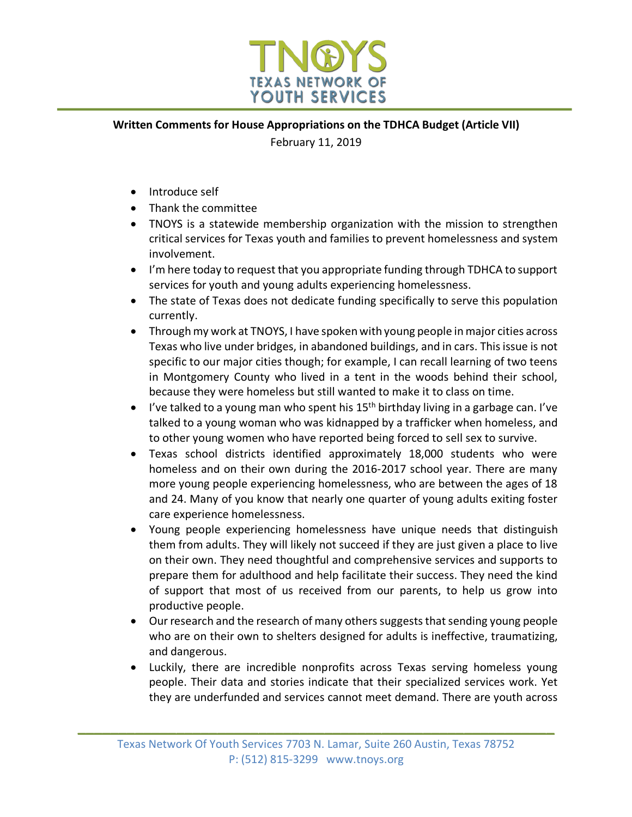

## **Written Comments for House Appropriations on the TDHCA Budget (Article VII)**

February 11, 2019

- Introduce self
- Thank the committee
- TNOYS is a statewide membership organization with the mission to strengthen critical services for Texas youth and families to prevent homelessness and system involvement.
- I'm here today to request that you appropriate funding through TDHCA to support services for youth and young adults experiencing homelessness.
- The state of Texas does not dedicate funding specifically to serve this population currently.
- Through my work at TNOYS, I have spoken with young people in major cities across Texas who live under bridges, in abandoned buildings, and in cars. This issue is not specific to our major cities though; for example, I can recall learning of two teens in Montgomery County who lived in a tent in the woods behind their school, because they were homeless but still wanted to make it to class on time.
- I've talked to a young man who spent his  $15<sup>th</sup>$  birthday living in a garbage can. I've talked to a young woman who was kidnapped by a trafficker when homeless, and to other young women who have reported being forced to sell sex to survive.
- Texas school districts identified approximately 18,000 students who were homeless and on their own during the 2016-2017 school year. There are many more young people experiencing homelessness, who are between the ages of 18 and 24. Many of you know that nearly one quarter of young adults exiting foster care experience homelessness.
- Young people experiencing homelessness have unique needs that distinguish them from adults. They will likely not succeed if they are just given a place to live on their own. They need thoughtful and comprehensive services and supports to prepare them for adulthood and help facilitate their success. They need the kind of support that most of us received from our parents, to help us grow into productive people.
- Our research and the research of many others suggests that sending young people who are on their own to shelters designed for adults is ineffective, traumatizing, and dangerous.
- Luckily, there are incredible nonprofits across Texas serving homeless young people. Their data and stories indicate that their specialized services work. Yet they are underfunded and services cannot meet demand. There are youth across

**\_\_\_\_\_\_\_\_\_\_\_\_\_\_\_\_\_\_\_\_\_\_\_\_\_\_\_\_\_\_\_\_\_\_\_\_\_\_\_\_\_\_\_\_\_\_\_\_\_\_\_\_\_\_\_\_\_\_**